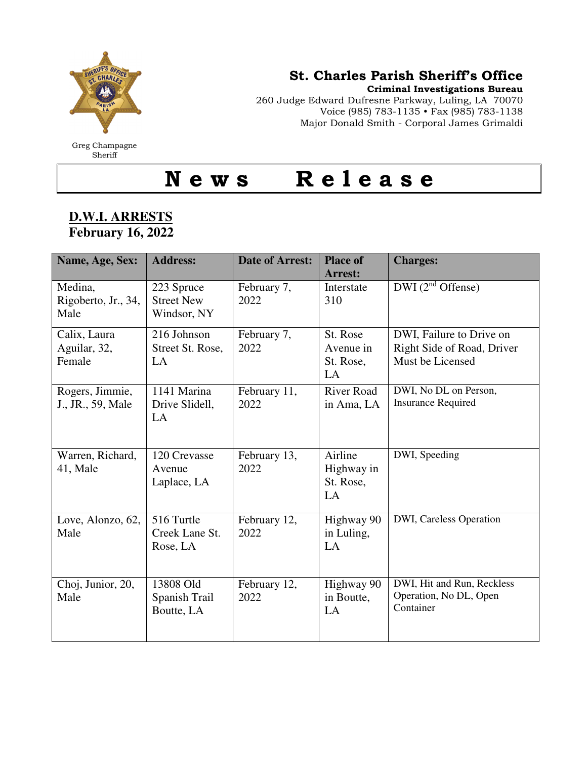

## St. Charles Parish Sheriff's Office

Criminal Investigations Bureau

260 Judge Edward Dufresne Parkway, Luling, LA 70070 Voice (985) 783-1135 • Fax (985) 783-1138 Major Donald Smith - Corporal James Grimaldi

Greg Champagne **Sheriff** 

## N e w s R e l e a s e

## **D.W.I. ARRESTS February 16, 2022**

| Name, Age, Sex:                        | <b>Address:</b>                                | <b>Date of Arrest:</b> | <b>Place of</b><br><b>Arrest:</b>        | <b>Charges:</b>                                                            |
|----------------------------------------|------------------------------------------------|------------------------|------------------------------------------|----------------------------------------------------------------------------|
| Medina,<br>Rigoberto, Jr., 34,<br>Male | 223 Spruce<br><b>Street New</b><br>Windsor, NY | February 7,<br>2022    | Interstate<br>310                        | $DWI(2nd$ Offense)                                                         |
| Calix, Laura<br>Aguilar, 32,<br>Female | 216 Johnson<br>Street St. Rose,<br>LA          | February 7,<br>2022    | St. Rose<br>Avenue in<br>St. Rose,<br>LA | DWI, Failure to Drive on<br>Right Side of Road, Driver<br>Must be Licensed |
| Rogers, Jimmie,<br>J., JR., 59, Male   | 1141 Marina<br>Drive Slidell,<br>LA            | February 11,<br>2022   | <b>River Road</b><br>in Ama, LA          | DWI, No DL on Person,<br><b>Insurance Required</b>                         |
| Warren, Richard,<br>41, Male           | 120 Crevasse<br>Avenue<br>Laplace, LA          | February 13,<br>2022   | Airline<br>Highway in<br>St. Rose,<br>LA | DWI, Speeding                                                              |
| Love, Alonzo, 62,<br>Male              | 516 Turtle<br>Creek Lane St.<br>Rose, LA       | February 12,<br>2022   | Highway 90<br>in Luling,<br>LA           | DWI, Careless Operation                                                    |
| Choj, Junior, 20,<br>Male              | 13808 Old<br>Spanish Trail<br>Boutte, LA       | February 12,<br>2022   | Highway 90<br>in Boutte,<br>LA           | DWI, Hit and Run, Reckless<br>Operation, No DL, Open<br>Container          |